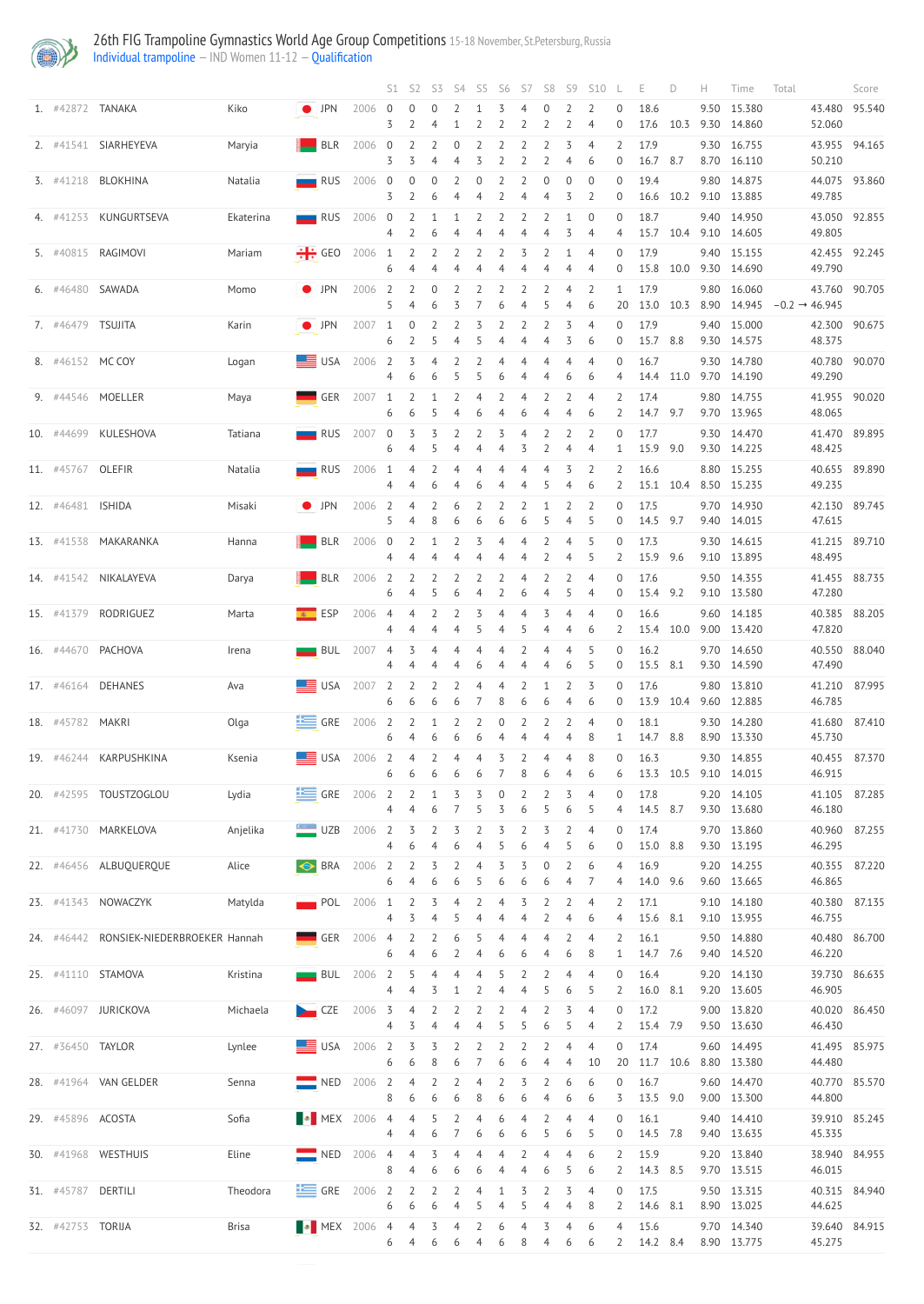

## 26th FIG Trampoline Gymnastics World Age Group Competitions 15-18 November, St.Petersburg, Russia

[Individual trampoline](http://192.168.1.10:9001/event/TRA) — IND Women 11-12 — [Qualification](http://192.168.1.10:9001/stages/20)

|                    |                                         |           |                                                                      |              |                 | $S1$ $S2$                                | S3                  |                                  |                     |                     | S4 S5 S6 S7         | S8                  |                     | S9 S10                           |                                    | Е                    | D         | Time                       | Total                     | Score         |
|--------------------|-----------------------------------------|-----------|----------------------------------------------------------------------|--------------|-----------------|------------------------------------------|---------------------|----------------------------------|---------------------|---------------------|---------------------|---------------------|---------------------|----------------------------------|------------------------------------|----------------------|-----------|----------------------------|---------------------------|---------------|
| 1. #42872 TANAKA   |                                         | Kiko      | $\bullet$ [JPN 2006 0                                                |              | 3               | $\overline{0}$                           | 0                   |                                  |                     |                     | 2                   | 2                   | 2                   | $\overline{2}$<br>$\overline{4}$ | $\boldsymbol{0}$<br>$\overline{0}$ | 18.6<br>17.6         | 10.3      | 9.50 15.380<br>9.30 14.860 | 52.060                    | 43.480 95.540 |
|                    | 2. #41541 SIARHEYEVA                    | Maryia    | BLR                                                                  | 2006 0       | 3               | 2<br>3                                   | $\overline{2}$      | $\overline{0}$                   | 2<br>3              | 2                   | 2                   | $\overline{2}$      | 3                   | $\overline{4}$<br>6              | 2<br>$\overline{0}$                | 17.9<br>16.7 8.7     |           | 9.30 16.755<br>8.70 16.110 | 50.210                    | 43.955 94.165 |
|                    | 3. #41218 BLOKHINA                      | Natalia   | RUS 2006 0                                                           |              | 3               | $\overline{0}$                           | $\overline{0}$<br>6 | $\overline{2}$                   | $\overline{0}$      |                     |                     | 4                   | $\overline{0}$<br>3 | $\overline{0}$<br>2              | $\Omega$<br>$\overline{0}$         | 19.4<br>16.6         | 10.2      | 9.80 14.875<br>9.10 13.885 | 49.785                    | 44.075 93.860 |
|                    | 4. #41253 KUNGURTSEVA                   | Ekaterina | <b>RUS</b> 2006 0                                                    |              |                 | $\overline{2}$                           | 1                   |                                  |                     |                     |                     |                     |                     | $\theta$                         | $\overline{0}$                     | 18.7                 |           | 9.40 14.950                |                           | 43.050 92.855 |
|                    | 5. #40815 RAGIMOVI                      | Mariam    | $\frac{1}{2}$ GEO 2006 1                                             |              | 4               | $\overline{2}$                           | 6<br>$\overline{2}$ | $\overline{2}$                   | $2 \quad 2$         |                     | 3                   | 4<br>$\overline{2}$ | 3                   | 4<br>$\overline{4}$              | 4<br>$\overline{0}$                | 15.7<br>17.9         | 10.4      | 9.10 14.605<br>9.40 15.155 | 49.805                    | 42.455 92.245 |
| 6. #46480 SAWADA   |                                         | Momo      | $\bullet$ [JPN                                                       | 2006 2       | 6               | $\overline{2}$                           | $\overline{0}$      | 2                                | 2                   | $\overline{2}$      | 2                   | $\overline{2}$      | $\overline{4}$      | 4<br>$\overline{2}$              | $\overline{0}$<br>$\mathbf{1}$     | 15.8<br>17.9         | 10.0      | 9.30 14.690<br>9.80 16.060 | 49.790                    | 43.760 90.705 |
| 7. #46479 TSUJITA  |                                         | Karin     | $\bullet$ $\Box$ PN                                                  | 2007 1       | 5.              | $\overline{0}$                           | 6<br>$\overline{2}$ |                                  |                     | 6                   |                     | -5                  | 4<br>3              | 6<br>$\overline{4}$              | 20<br>$\overline{0}$               | 13.0<br>17.9         | 10.3      | 8.90 14.945<br>9.40 15.000 | $-0.2 \rightarrow 46.945$ | 42.300 90.675 |
|                    |                                         |           |                                                                      |              | 6               |                                          | 5.                  | 4                                |                     | 4                   | 4                   | 4                   | 3                   | 6                                | $\overline{0}$                     | 15.7 8.8             |           | 9.30 14.575                | 48.375                    |               |
| 8. #46152 MCCOY    |                                         | Logan     | $\equiv$ USA 2006 2                                                  |              | $\overline{4}$  | $\overline{3}$<br>6                      | 6                   | $4$ 2 2<br>5                     | 5                   | $\overline{4}$<br>6 | $\overline{4}$      | $\overline{4}$<br>4 | $\overline{4}$<br>6 | $\overline{4}$<br>6              | $\overline{0}$                     | 16.7                 | 14.4 11.0 | 9.30 14.780<br>9.70 14.190 | 49.290                    | 40.780 90.070 |
|                    | 9. #44546 MOELLER                       | Maya      | $\begin{array}{ c c c c c }\n\hline\n\hline\n\end{array}$ GER 2007 1 |              | 6               | $\overline{2}$<br>6                      | 5.                  | $1 \quad 2 \quad 4 \quad 2$<br>4 | 6                   |                     | $\overline{4}$<br>6 | $\overline{2}$      | $\overline{2}$      | $\overline{4}$<br>6              | $\overline{2}$<br>2                | 17.4<br>14.7 9.7     |           | 9.80 14.755<br>9.70 13.965 | 48.065                    | 41.955 90.020 |
|                    | 10. #44699 KULESHOVA                    | Tatiana   | RUS 2007 0                                                           |              | 6               | 3                                        | 3                   | 2                                |                     |                     | 3                   |                     |                     | 4                                | $\overline{0}$                     | 17.7<br>15.9 9.0     |           | 9.30 14.470<br>9.30 14.225 | 48.425                    | 41.470 89.895 |
| 11. #45767 OLEFIR  |                                         | Natalia   | $RUS$ 2006 1                                                         |              |                 | $\overline{4}$                           | $\overline{2}$      | 4                                |                     |                     |                     |                     |                     | 6                                |                                    | 16.6<br>15.1         | 10.4      | 8.80 15.255<br>8.50 15.235 | 49.235                    | 40.655 89.890 |
| 12. #46481 ISHIDA  |                                         | Misaki    | $\bullet$ [JPN                                                       | 2006 2       | 5.              | 4                                        | $\overline{2}$<br>8 | 6                                | 2                   | 2                   | $\overline{2}$<br>6 | 5                   | 2                   | 2<br>5                           | $\overline{0}$<br>0                | 17.5<br>14.5 9.7     |           | 9.70 14.930<br>9.40 14.015 | 47.615                    | 42.130 89.745 |
| 13. #41538         | MAKARANKA                               | Hanna     |                                                                      | $BLR$ 2006 0 |                 | $\overline{2}$                           |                     | $\overline{2}$                   | 3                   | 4                   | $\overline{4}$      | $\overline{2}$      | $\overline{4}$      | 5                                | $\overline{0}$                     | 17.3                 |           | 9.30 14.615                |                           | 41.215 89.710 |
|                    | 14. #41542 NIKALAYEVA                   | Darya     | $BLR$ 2006 2                                                         |              | 4               | 2                                        | 2                   |                                  |                     |                     |                     |                     | 4                   | 5                                | $\overline{2}$<br>0                | 15.9 9.6<br>17.6     |           | 9.10 13.895<br>9.50 14.355 | 48.495                    | 41.455 88.735 |
|                    | 15. #41379 RODRIGUEZ                    | Marta     | $ESP$ 2006 4                                                         |              | 6               | 4<br>$\overline{4}$                      | 2                   |                                  |                     |                     | 6                   | 4                   |                     | $\overline{4}$                   | $\overline{0}$<br>$\theta$         | 15.4 9.2<br>16.6     |           | 9.10 13.580<br>9.60 14.185 | 47.280                    | 40.385 88.205 |
|                    | 16. #44670 PACHOVA                      | Irena     | $BUL$ 2007 4                                                         |              | 4               | 3                                        | $\overline{4}$      | 4                                |                     |                     | 5                   |                     |                     | 6<br>5                           | 2<br>$\overline{0}$                | 16.2                 | 15.4 10.0 | 9.00 13.420<br>9.70 14.650 | 47.820                    | 40.550 88.040 |
|                    |                                         |           |                                                                      |              |                 |                                          |                     |                                  | b                   |                     |                     | 4                   | 6                   | 5                                | $\overline{0}$                     | 15.5 8.1             |           | 9.30 14.590                | 47.490                    |               |
|                    | 17. #46164 DEHANES                      | Ava       | $\equiv$ USA 2007 2                                                  |              | 6               | $\overline{2}$<br>6                      | $\overline{2}$<br>6 | $\overline{2}$<br>6              | $\overline{4}$      | $\overline{4}$<br>8 | $\overline{2}$<br>6 | 6                   | $\overline{2}$<br>4 | 3<br>6                           | $\overline{0}$<br>$\overline{0}$   | 17.6<br>13.9         | 10.4      | 9.80 13.810<br>9.60 12.885 | 46.785                    | 41.210 87.995 |
| 18. #45782 MAKRI   |                                         | Olga      | $\equiv$ GRE 2006 2                                                  |              | 6               | $\overline{2}$                           | 6                   | $1 \quad 2 \quad 2 \quad 0$<br>6 | 6                   | 4                   | $\overline{2}$<br>4 | $\overline{2}$<br>4 | $\overline{2}$<br>4 | $\overline{4}$<br>8              | $\boldsymbol{0}$                   | 18.1<br>14.7 8.8     |           | 9.30 14.280<br>8.90 13.330 | 45.730                    | 41.680 87.410 |
|                    | 19. #46244 KARPUSHKINA                  | Ksenia    | $\equiv$ USA 2006 2                                                  |              | 6               | $\overline{4}$<br>6                      | 6                   | $2 \quad 4$<br>6                 | $\overline{4}$<br>6 | 3                   | $\overline{2}$<br>8 | $\overline{4}$<br>6 | $\overline{4}$<br>4 | 8<br>6                           | $\overline{0}$<br>6                | 16.3<br>13.3 10.5    |           | 9.30 14.855<br>9.10 14.015 | 46.915                    | 40.455 87.370 |
|                    | 20. #42595 TOUSTZOGLOU                  | Lydia     | $\equiv$ GRE 2006 2                                                  |              | 4               | $2 \quad 1 \quad 3 \quad 3 \quad 0$<br>4 | 6                   |                                  | -5                  | 3                   | $2 \quad 2$<br>6    | 5                   | $\overline{3}$<br>6 | $\overline{4}$<br>5              | $\boldsymbol{0}$<br>4              | 17.8<br>14.5 8.7     |           | 9.20 14.105<br>9.30 13.680 | 46.180                    | 41.105 87.285 |
|                    | 21. #41730 MARKELOVA                    | Anjelika  | $\Box$ UZB                                                           | 2006 2       | 4               | $\overline{3}$<br>6                      | $\overline{2}$      | 3                                |                     |                     | 6                   | 3                   |                     | $\overline{4}$<br>6              | $\overline{0}$<br>0                | 17.4<br>15.0         | 8.8       | 9.70 13.860<br>9.30 13.195 | 46.295                    | 40.960 87.255 |
|                    | 22. #46456 ALBUQUERQUE                  | Alice     | <b>BRA</b> 2006 2                                                    |              |                 | $\overline{2}$                           | 3                   |                                  |                     |                     |                     |                     |                     |                                  |                                    | 16.9                 |           | 9.20 14.255                |                           | 40.355 87.220 |
|                    | 23. #41343 NOWACZYK                     | Matylda   | $POL$ 2006 1                                                         |              | 6               | $\overline{2}$                           | 6<br>3              | 6                                |                     | 6                   | 6                   | 6                   |                     | $\overline{4}$                   | 4<br>2                             | 14.0<br>17.1         | 9.6       | 9.60 13.665<br>9.10 14.180 | 46.865                    | 40.380 87.135 |
|                    | 24. #46442 RONSIEK-NIEDERBROEKER Hannah |           |                                                                      | $GER$ 2006 4 | 4               | 3<br>$\overline{2}$                      | 2                   | 6                                |                     | 4                   | $\overline{4}$      | 4                   | $\overline{2}$      | 6<br>$\overline{4}$              | $\overline{2}$                     | 15.6 8.1<br>16.1     |           | 9.10 13.955<br>9.50 14.880 | 46.755                    | 40.480 86.700 |
|                    | 25. #41110 STAMOVA                      | Kristina  | $BUL$ 2006 2                                                         |              | 6               | 4<br>-5                                  | $\overline{4}$      | $\overline{4}$                   | 4                   |                     |                     |                     |                     | 8<br>$\overline{4}$              | $\overline{0}$                     | 14.7 7.6<br>16.4     |           | 9.40 14.520<br>9.20 14.130 | 46.220                    | 39.730 86.635 |
|                    |                                         |           |                                                                      |              | 4               | -4                                       | 3                   |                                  |                     |                     |                     |                     | 6                   | 5                                | $\overline{2}$                     | 16.0 8.1             |           | 9.20 13.605                | 46.905                    |               |
|                    | 26. #46097 JURICKOVA                    | Michaela  | $\sim$ CZE 2006 3 4 2                                                |              | $4\overline{ }$ | 3                                        |                     | $\overline{2}$                   |                     |                     |                     | 6                   | $\overline{5}$      | $\overline{4}$                   | $\mathbf{2}$                       | 17.2<br>15.4 7.9     |           | 9.00 13.820<br>9.50 13.630 | 46.430                    | 40.020 86.450 |
| 27. #36450 TAYLOR  |                                         | Lynlee    | $\frac{1}{2}$ USA 2006 2 3                                           |              | 6               | -6                                       | $\overline{3}$      | $\overline{2}$                   |                     |                     | $\overline{2}$      |                     | 4                   | $\overline{4}$<br>10             | 0                                  | 17.4<br>20 11.7 10.6 |           | 9.60 14.495<br>8.80 13.380 | 44.480                    | 41.495 85.975 |
|                    | 28. #41964 VAN GELDER                   | Senna     | NED 2006 2 4 2 2                                                     |              | 8 6             |                                          | 6                   | 6                                | 8                   | 6                   | 4 2 3 2<br>6        | 4                   | 6<br>6              | 6<br>6                           | $\overline{0}$<br>3                | 16.7<br>13.5 9.0     |           | 9.60 14.470<br>9.00 13.300 | 44.800                    | 40.770 85.570 |
| 29. #45896 ACOSTA  |                                         | Sofia     | MEX 2006 4 4 5 2                                                     |              |                 | 4 4                                      | 6                   |                                  | $\overline{4}$<br>6 | 6<br>6              | $\overline{4}$<br>6 |                     | $\overline{4}$<br>6 | $\overline{4}$                   | $\overline{0}$<br>$\overline{0}$   | 16.1<br>14.5 7.8     |           | 9.40 14.410<br>9.40 13.635 | 45.335                    | 39.910 85.245 |
|                    | 30. #41968 WESTHUIS                     | Eline     | NED 2006 4 4 3                                                       |              |                 |                                          |                     | $\overline{4}$                   |                     |                     |                     |                     |                     | 6                                | 2                                  | 15.9                 |           | 9.20 13.840                |                           | 38.940 84.955 |
| 31. #45787 DERTILI |                                         | Theodora  | GRE 2006 2 2 2 2 4 1 3 2 3 4                                         |              | 8               | 4                                        | 6                   | 6                                | 6                   |                     |                     | 6                   | 5                   | 6                                | 2<br>$\overline{0}$                | 14.3 8.5<br>17.5     |           | 9.70 13.515<br>9.50 13.315 | 46.015                    | 40.315 84.940 |
| 32. #42753 TORIJA  |                                         | Brisa     | <b>N</b> MEX 2006 4 4 3 4 2 6 4 3                                    |              |                 | 6 6 6 4 5 4 5 4                          |                     |                                  |                     |                     |                     |                     | 4<br>$\overline{4}$ | 8<br>6                           | 4                                  | 2 14.6 8.1<br>15.6   |           | 8.90 13.025<br>9.70 14.340 | 44.625                    | 39.640 84.915 |
|                    |                                         |           |                                                                      |              |                 | 6 4                                      | 6                   | 6                                |                     | 6                   | 8                   | 4                   | 6                   | 6                                | $\overline{2}$                     | 14.2 8.4             |           | 8.90 13.775                | 45.275                    |               |